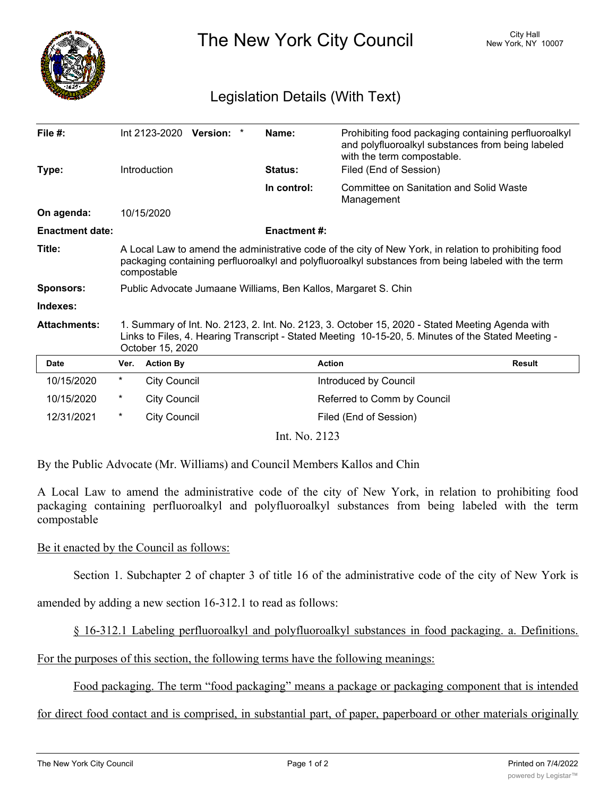

The New York City Council New York, NY 10007

## Legislation Details (With Text)

| File $#$ :             |                                                                                                                                                                                                                             | Int 2123-2020 Version: * |  |  | Name:               | Prohibiting food packaging containing perfluoroalkyl<br>and polyfluoroalkyl substances from being labeled<br>with the term compostable. |               |
|------------------------|-----------------------------------------------------------------------------------------------------------------------------------------------------------------------------------------------------------------------------|--------------------------|--|--|---------------------|-----------------------------------------------------------------------------------------------------------------------------------------|---------------|
| Type:                  |                                                                                                                                                                                                                             | Introduction             |  |  | Status:             | Filed (End of Session)                                                                                                                  |               |
|                        |                                                                                                                                                                                                                             |                          |  |  | In control:         | Committee on Sanitation and Solid Waste<br>Management                                                                                   |               |
| On agenda:             |                                                                                                                                                                                                                             | 10/15/2020               |  |  |                     |                                                                                                                                         |               |
| <b>Enactment date:</b> |                                                                                                                                                                                                                             |                          |  |  | <b>Enactment #:</b> |                                                                                                                                         |               |
| Title:                 | A Local Law to amend the administrative code of the city of New York, in relation to prohibiting food<br>packaging containing perfluoroalkyl and polyfluoroalkyl substances from being labeled with the term<br>compostable |                          |  |  |                     |                                                                                                                                         |               |
| <b>Sponsors:</b>       | Public Advocate Jumaane Williams, Ben Kallos, Margaret S. Chin                                                                                                                                                              |                          |  |  |                     |                                                                                                                                         |               |
| Indexes:               |                                                                                                                                                                                                                             |                          |  |  |                     |                                                                                                                                         |               |
| <b>Attachments:</b>    | 1. Summary of Int. No. 2123, 2. Int. No. 2123, 3. October 15, 2020 - Stated Meeting Agenda with<br>Links to Files, 4. Hearing Transcript - Stated Meeting 10-15-20, 5. Minutes of the Stated Meeting -<br>October 15, 2020  |                          |  |  |                     |                                                                                                                                         |               |
| <b>Date</b>            | Ver.                                                                                                                                                                                                                        | <b>Action By</b>         |  |  |                     | <b>Action</b>                                                                                                                           | <b>Result</b> |
| 10/15/2020             | $^\star$                                                                                                                                                                                                                    | <b>City Council</b>      |  |  |                     | Introduced by Council                                                                                                                   |               |
| 10/15/2020             | $^\star$                                                                                                                                                                                                                    | <b>City Council</b>      |  |  |                     | Referred to Comm by Council                                                                                                             |               |
| 12/31/2021             | $^\star$                                                                                                                                                                                                                    | <b>City Council</b>      |  |  |                     | Filed (End of Session)                                                                                                                  |               |
| Int. No. 2123          |                                                                                                                                                                                                                             |                          |  |  |                     |                                                                                                                                         |               |

By the Public Advocate (Mr. Williams) and Council Members Kallos and Chin

A Local Law to amend the administrative code of the city of New York, in relation to prohibiting food packaging containing perfluoroalkyl and polyfluoroalkyl substances from being labeled with the term compostable

## Be it enacted by the Council as follows:

Section 1. Subchapter 2 of chapter 3 of title 16 of the administrative code of the city of New York is

amended by adding a new section 16-312.1 to read as follows:

§ 16-312.1 Labeling perfluoroalkyl and polyfluoroalkyl substances in food packaging. a. Definitions.

For the purposes of this section, the following terms have the following meanings:

Food packaging. The term "food packaging" means a package or packaging component that is intended

for direct food contact and is comprised, in substantial part, of paper, paperboard or other materials originally